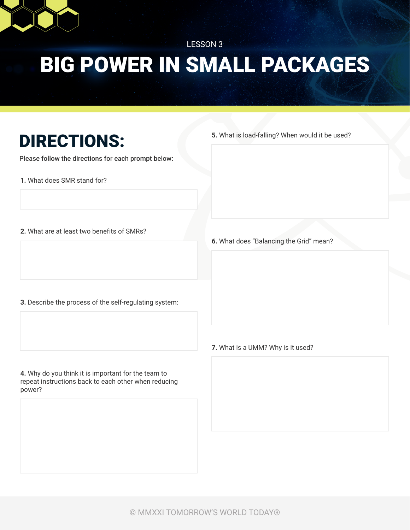

## BIG POWER IN SMALL PACKAGES LESSON 3

## DIRECTIONS:

Please follow the directions for each prompt below:

**1.** What does SMR stand for?

**5.** What is load-falling? When would it be used?

**2.** What are at least two benefits of SMRs?

**6.** What does "Balancing the Grid" mean?

- **3.** Describe the process of the self-regulating system:
- **7.** What is a UMM? Why is it used?

**4.** Why do you think it is important for the team to repeat instructions back to each other when reducing power?